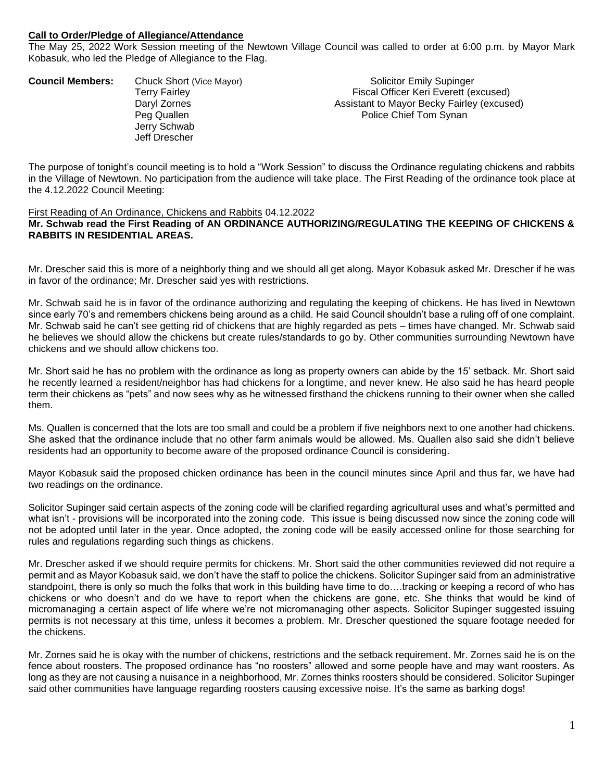## **Call to Order/Pledge of Allegiance/Attendance**

The May 25, 2022 Work Session meeting of the Newtown Village Council was called to order at 6:00 p.m. by Mayor Mark Kobasuk, who led the Pledge of Allegiance to the Flag.

| <b>Council Members:</b> | Chuck Short (Vice Mayor) | <b>Solicitor Emily Supinger</b>            |
|-------------------------|--------------------------|--------------------------------------------|
|                         | Terry Fairley            | Fiscal Officer Keri Everett (excused)      |
|                         | Daryl Zornes             | Assistant to Mayor Becky Fairley (excused) |
|                         | Peg Quallen              | Police Chief Tom Synan                     |
|                         | Jerry Schwab             |                                            |
|                         | Jeff Drescher            |                                            |
|                         |                          |                                            |

The purpose of tonight's council meeting is to hold a "Work Session" to discuss the Ordinance regulating chickens and rabbits in the Village of Newtown. No participation from the audience will take place. The First Reading of the ordinance took place at the 4.12.2022 Council Meeting:

## First Reading of An Ordinance, Chickens and Rabbits 04.12.2022 **Mr. Schwab read the First Reading of AN ORDINANCE AUTHORIZING/REGULATING THE KEEPING OF CHICKENS & RABBITS IN RESIDENTIAL AREAS.**

Mr. Drescher said this is more of a neighborly thing and we should all get along. Mayor Kobasuk asked Mr. Drescher if he was in favor of the ordinance; Mr. Drescher said yes with restrictions.

Mr. Schwab said he is in favor of the ordinance authorizing and regulating the keeping of chickens. He has lived in Newtown since early 70's and remembers chickens being around as a child. He said Council shouldn't base a ruling off of one complaint. Mr. Schwab said he can't see getting rid of chickens that are highly regarded as pets – times have changed. Mr. Schwab said he believes we should allow the chickens but create rules/standards to go by. Other communities surrounding Newtown have chickens and we should allow chickens too.

Mr. Short said he has no problem with the ordinance as long as property owners can abide by the 15' setback. Mr. Short said he recently learned a resident/neighbor has had chickens for a longtime, and never knew. He also said he has heard people term their chickens as "pets" and now sees why as he witnessed firsthand the chickens running to their owner when she called them.

Ms. Quallen is concerned that the lots are too small and could be a problem if five neighbors next to one another had chickens. She asked that the ordinance include that no other farm animals would be allowed. Ms. Quallen also said she didn't believe residents had an opportunity to become aware of the proposed ordinance Council is considering.

Mayor Kobasuk said the proposed chicken ordinance has been in the council minutes since April and thus far, we have had two readings on the ordinance.

Solicitor Supinger said certain aspects of the zoning code will be clarified regarding agricultural uses and what's permitted and what isn't - provisions will be incorporated into the zoning code. This issue is being discussed now since the zoning code will not be adopted until later in the year. Once adopted, the zoning code will be easily accessed online for those searching for rules and regulations regarding such things as chickens.

Mr. Drescher asked if we should require permits for chickens. Mr. Short said the other communities reviewed did not require a permit and as Mayor Kobasuk said, we don't have the staff to police the chickens. Solicitor Supinger said from an administrative standpoint, there is only so much the folks that work in this building have time to do….tracking or keeping a record of who has chickens or who doesn't and do we have to report when the chickens are gone, etc. She thinks that would be kind of micromanaging a certain aspect of life where we're not micromanaging other aspects. Solicitor Supinger suggested issuing permits is not necessary at this time, unless it becomes a problem. Mr. Drescher questioned the square footage needed for the chickens.

Mr. Zornes said he is okay with the number of chickens, restrictions and the setback requirement. Mr. Zornes said he is on the fence about roosters. The proposed ordinance has "no roosters" allowed and some people have and may want roosters. As long as they are not causing a nuisance in a neighborhood, Mr. Zornes thinks roosters should be considered. Solicitor Supinger said other communities have language regarding roosters causing excessive noise. It's the same as barking dogs!